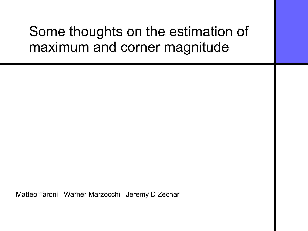## Some thoughts on the estimation of maximum and corner magnitude

Matteo Taroni Warner Marzocchi Jeremy D Zechar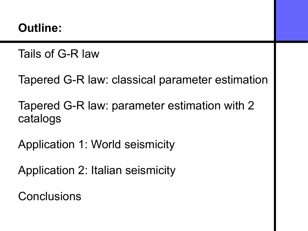#### **Outline:**

Tails of G-R law

Tapered G-R law: classical parameter estimation

Tapered G-R law: parameter estimation with 2 catalogs

Application 1: World seismicity

Application 2: Italian seismicity

**Conclusions**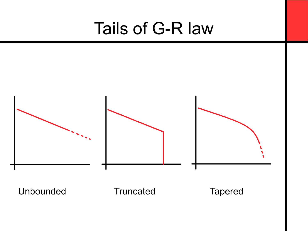# Tails of G-R law

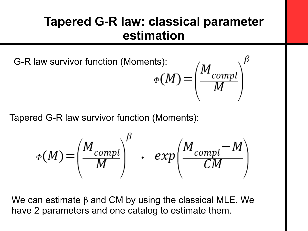### **Tapered G-R law: classical parameter estimation**

G-R law survivor function (Moments)

$$
\phi(M) = \left(\frac{M_{compl}}{M}\right)^{\beta}
$$

Tapered G-R law survivor function (Moments):

$$
\Phi(M) = \left(\frac{M_{compl}}{M}\right)^{\beta} \cdot exp\left(\frac{M_{compl} - M}{CM}\right)
$$

We can estimate  $\beta$  and CM by using the classical MLE. We have 2 parameters and one catalog to estimate them.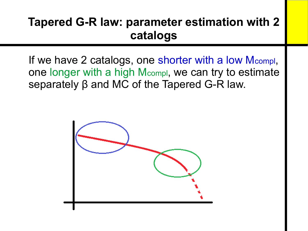### **Tapered G-R law: parameter estimation with 2 catalogs**

If we have 2 catalogs, one shorter with a low Mcompl, one longer with a high Mcompl, we can try to estimate separately β and MC of the Tapered G-R law.

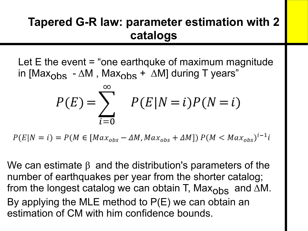### **Tapered G-R law: parameter estimation with 2 catalogs**

Let  $E$  the event  $=$  "one earthquke of maximum magnitude in [Max<sub>obs</sub> -  $\Delta M$ , Max<sub>obs</sub> +  $\Delta M$ ] during T years"

$$
P(E) = \sum_{i=0}^{\infty} P(E|N=i)P(N=i)
$$

 $P(E|N = i) = P(M \in [Max_{obs} - \Delta M, Max_{obs} + \Delta M]) P(M < Max_{obs})^{i-1}i$ 

We can estimate  $\beta$  and the distribution's parameters of the number of earthquakes per year from the shorter catalog; from the longest catalog we can obtain T, Max<sub>obs</sub> and  $\Delta M$ . By applying the MLE method to P(E) we can obtain an estimation of CM with him confidence bounds.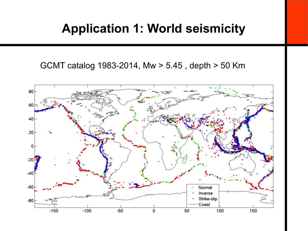#### **Application 1: World seismicity**

GCMT catalog 1983-2014, Mw > 5.45 , depth > 50 Km

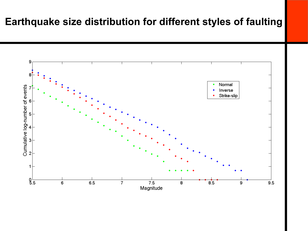#### **Earthquake size distribution for different styles of faulting**

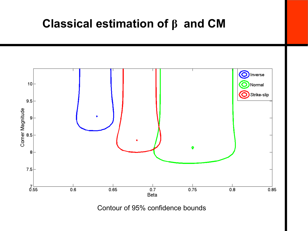#### **Classical estimation of β and CM**



Contour of 95% confidence bounds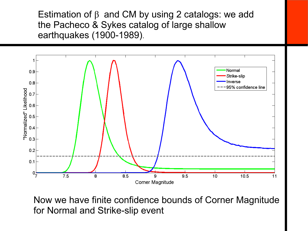Estimation of  $\beta$  and CM by using 2 catalogs: we add the Pacheco & Sykes catalog of large shallow earthquakes (1900-1989).



Now we have finite confidence bounds of Corner Magnitude for Normal and Strike-slip event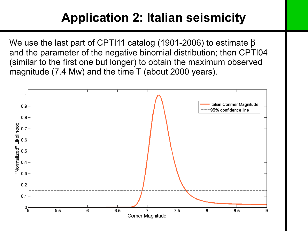### **Application 2: Italian seismicity**

We use the last part of CPTI11 catalog (1901-2006) to estimate  $\beta$ and the parameter of the negative binomial distribution; then CPTI04 (similar to the first one but longer) to obtain the maximum observed magnitude (7.4 Mw) and the time T (about 2000 years).